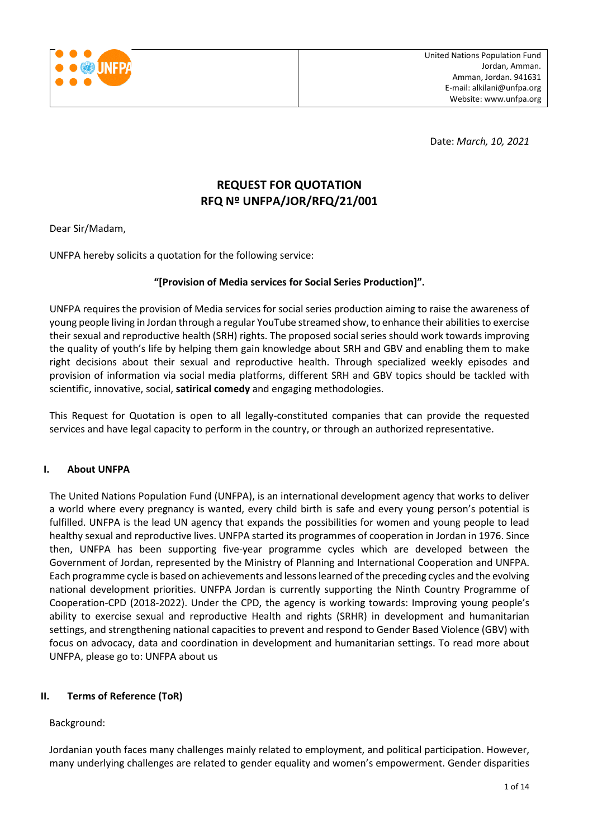

Date: *March, 10, 2021*

## **REQUEST FOR QUOTATION RFQ Nº UNFPA/JOR/RFQ/21/001**

Dear Sir/Madam,

UNFPA hereby solicits a quotation for the following service:

#### **"[Provision of Media services for Social Series Production]".**

UNFPA requires the provision of Media services for social series production aiming to raise the awareness of young people living in Jordan through a regular YouTube streamed show, to enhance their abilities to exercise their sexual and reproductive health (SRH) rights. The proposed social series should work towards improving the quality of youth's life by helping them gain knowledge about SRH and GBV and enabling them to make right decisions about their sexual and reproductive health. Through specialized weekly episodes and provision of information via social media platforms, different SRH and GBV topics should be tackled with scientific, innovative, social, **satirical comedy** and engaging methodologies.

This Request for Quotation is open to all legally-constituted companies that can provide the requested services and have legal capacity to perform in the country, or through an authorized representative.

#### **I. About UNFPA**

The United Nations Population Fund (UNFPA), is an international development agency that works to deliver a world where every pregnancy is wanted, every child birth is safe and every young person's potential is fulfilled. UNFPA is the lead UN agency that expands the possibilities for women and young people to lead healthy sexual and reproductive lives. UNFPA started its programmes of cooperation in Jordan in 1976. Since then, UNFPA has been supporting five-year programme cycles which are developed between the Government of Jordan, represented by the Ministry of Planning and International Cooperation and UNFPA. Each programme cycle is based on achievements and lessons learned of the preceding cycles and the evolving national development priorities. UNFPA Jordan is currently supporting the [Ninth Country Programme of](https://www.unfpa.org/sites/default/files/portal-document/JOR_EN.pdf)  [Cooperation-CPD \(2018-2022\).](https://www.unfpa.org/sites/default/files/portal-document/JOR_EN.pdf) Under the CPD, the agency is working towards: Improving young people's ability to exercise sexual and reproductive Health and rights (SRHR) in development and humanitarian settings, and strengthening national capacities to prevent and respond to Gender Based Violence (GBV) with focus on advocacy, data and coordination in development and humanitarian settings. To read more about UNFPA, please go to: [UNFPA about us](http://www.unfpa.org/about-us)

## **II. Terms of Reference (ToR)**

Background:

Jordanian youth faces many challenges mainly related to employment, and political participation. However, many underlying challenges are related to gender equality and women's empowerment. Gender disparities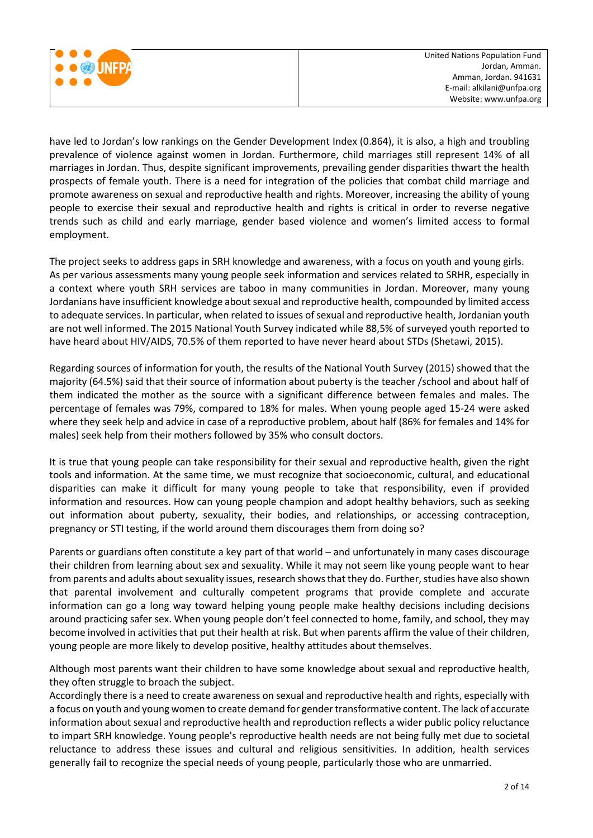

have led to Jordan's low rankings on the Gender Development Index (0.864), it is also, a high and troubling prevalence of violence against women in Jordan. Furthermore, child marriages still represent 14% of all marriages in Jordan. Thus, despite significant improvements, prevailing gender disparities thwart the health prospects of female youth. There is a need for integration of the policies that combat child marriage and promote awareness on sexual and reproductive health and rights. Moreover, increasing the ability of young people to exercise their sexual and reproductive health and rights is critical in order to reverse negative trends such as child and early marriage, gender based violence and women's limited access to formal employment.

The project seeks to address gaps in SRH knowledge and awareness, with a focus on youth and young girls. As per various assessments many young people seek information and services related to SRHR, especially in a context where youth SRH services are taboo in many communities in Jordan. Moreover, many young Jordanians have insufficient knowledge about sexual and reproductive health, compounded by limited access to adequate services. In particular, when related to issues of sexual and reproductive health, Jordanian youth are not well informed. The 2015 National Youth Survey indicated while 88,5% of surveyed youth reported to have heard about HIV/AIDS, 70.5% of them reported to have never heard about STDs (Shetawi, 2015).

Regarding sources of information for youth, the results of the National Youth Survey (2015) showed that the majority (64.5%) said that their source of information about puberty is the teacher /school and about half of them indicated the mother as the source with a significant difference between females and males. The percentage of females was 79%, compared to 18% for males. When young people aged 15-24 were asked where they seek help and advice in case of a reproductive problem, about half (86% for females and 14% for males) seek help from their mothers followed by 35% who consult doctors.

It is true that young people can take responsibility for their sexual and reproductive health, given the right tools and information. At the same time, we must recognize that socioeconomic, cultural, and educational disparities can make it difficult for many young people to take that responsibility, even if provided information and resources. How can young people champion and adopt healthy behaviors, such as seeking out information about puberty, sexuality, their bodies, and relationships, or accessing contraception, pregnancy or STI testing, if the world around them discourages them from doing so?

Parents or guardians often constitute a key part of that world – and unfortunately in many cases discourage their children from learning about sex and sexuality. While it may not seem like young people want to hear from parents and adults about sexuality issues, research shows that they do. Further, studies have also shown that parental involvement and culturally competent programs that provide complete and accurate information can go a long way toward helping young people make healthy decisions including decisions around practicing safer sex. When young people don't feel connected to home, family, and school, they may become involved in activities that put their health at risk. But when parents affirm the value of their children, young people are more likely to develop positive, healthy attitudes about themselves.

Although most parents want their children to have some knowledge about sexual and reproductive health, they often struggle to broach the subject.

Accordingly there is a need to create awareness on sexual and reproductive health and rights, especially with a focus on youth and young women to create demand for gender transformative content. The lack of accurate information about sexual and reproductive health and reproduction reflects a wider public policy reluctance to impart SRH knowledge. Young people's reproductive health needs are not being fully met due to societal reluctance to address these issues and cultural and religious sensitivities. In addition, health services generally fail to recognize the special needs of young people, particularly those who are unmarried.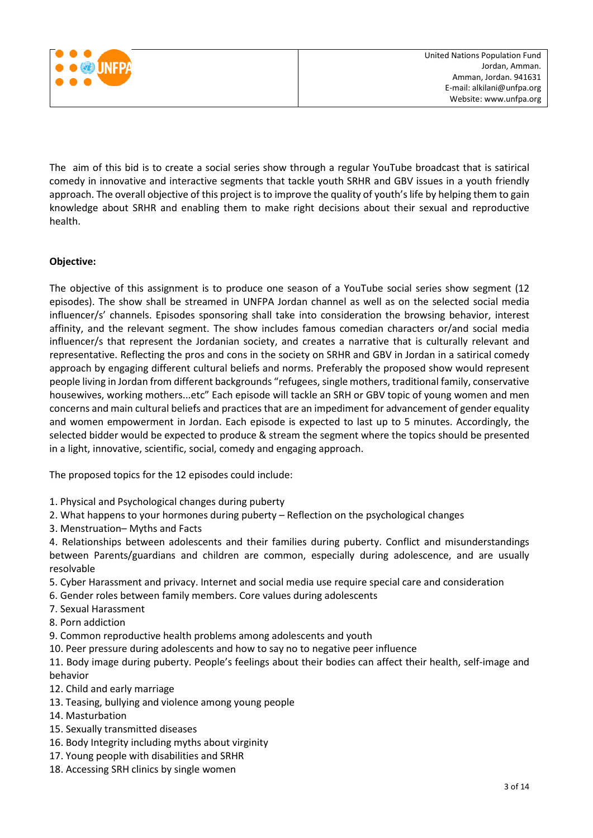

The aim of this bid is to create a social series show through a regular YouTube broadcast that is satirical comedy in innovative and interactive segments that tackle youth SRHR and GBV issues in a youth friendly approach. The overall objective of this project is to improve the quality of youth's life by helping them to gain knowledge about SRHR and enabling them to make right decisions about their sexual and reproductive health.

## **Objective:**

The objective of this assignment is to produce one season of a YouTube social series show segment (12 episodes). The show shall be streamed in UNFPA Jordan channel as well as on the selected social media influencer/s' channels. Episodes sponsoring shall take into consideration the browsing behavior, interest affinity, and the relevant segment. The show includes famous comedian characters or/and social media influencer/s that represent the Jordanian society, and creates a narrative that is culturally relevant and representative. Reflecting the pros and cons in the society on SRHR and GBV in Jordan in a satirical comedy approach by engaging different cultural beliefs and norms. Preferably the proposed show would represent people living in Jordan from different backgrounds "refugees, single mothers, traditional family, conservative housewives, working mothers...etc" Each episode will tackle an SRH or GBV topic of young women and men concerns and main cultural beliefs and practices that are an impediment for advancement of gender equality and women empowerment in Jordan. Each episode is expected to last up to 5 minutes. Accordingly, the selected bidder would be expected to produce & stream the segment where the topics should be presented in a light, innovative, scientific, social, comedy and engaging approach.

The proposed topics for the 12 episodes could include:

- 1. Physical and Psychological changes during puberty
- 2. What happens to your hormones during puberty Reflection on the psychological changes
- 3. Menstruation– Myths and Facts

4. Relationships between adolescents and their families during puberty. Conflict and misunderstandings between Parents/guardians and children are common, especially during adolescence, and are usually resolvable

- 5. Cyber Harassment and privacy. Internet and social media use require special care and consideration
- 6. Gender roles between family members. Core values during adolescents
- 7. Sexual Harassment
- 8. Porn addiction
- 9. Common reproductive health problems among adolescents and youth
- 10. Peer pressure during adolescents and how to say no to negative peer influence

11. Body image during puberty. People's feelings about their bodies can affect their health, self-image and behavior

- 12. Child and early marriage
- 13. Teasing, bullying and violence among young people
- 14. Masturbation
- 15. Sexually transmitted diseases
- 16. Body Integrity including myths about virginity
- 17. Young people with disabilities and SRHR
- 18. Accessing SRH clinics by single women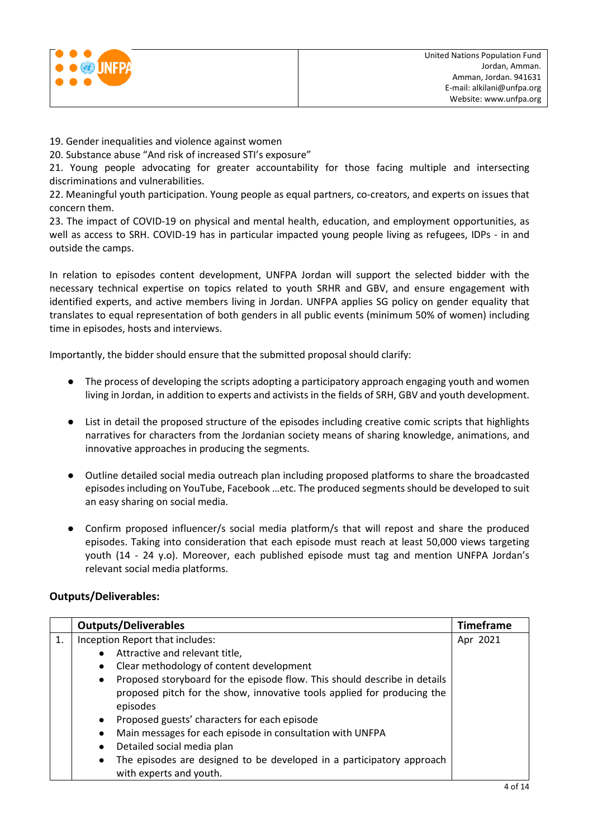

19. Gender inequalities and violence against women

20. Substance abuse "And risk of increased STI's exposure"

21. Young people advocating for greater accountability for those facing multiple and intersecting discriminations and vulnerabilities.

22. Meaningful youth participation. Young people as equal partners, co-creators, and experts on issues that concern them.

23. The impact of COVID-19 on physical and mental health, education, and employment opportunities, as well as access to SRH. COVID-19 has in particular impacted young people living as refugees, IDPs - in and outside the camps.

In relation to episodes content development, UNFPA Jordan will support the selected bidder with the necessary technical expertise on topics related to youth SRHR and GBV, and ensure engagement with identified experts, and active members living in Jordan. UNFPA applies SG policy on gender equality that translates to equal representation of both genders in all public events (minimum 50% of women) including time in episodes, hosts and interviews.

Importantly, the bidder should ensure that the submitted proposal should clarify:

- The process of developing the scripts adopting a participatory approach engaging youth and women living in Jordan, in addition to experts and activists in the fields of SRH, GBV and youth development.
- List in detail the proposed structure of the episodes including creative comic scripts that highlights narratives for characters from the Jordanian society means of sharing knowledge, animations, and innovative approaches in producing the segments.
- Outline detailed social media outreach plan including proposed platforms to share the broadcasted episodes including on YouTube, Facebook …etc. The produced segments should be developed to suit an easy sharing on social media.
- Confirm proposed influencer/s social media platform/s that will repost and share the produced episodes. Taking into consideration that each episode must reach at least 50,000 views targeting youth (14 - 24 y.o). Moreover, each published episode must tag and mention UNFPA Jordan's relevant social media platforms.

## **Outputs/Deliverables:**

|    | <b>Outputs/Deliverables</b>                                                            |          |  |  |  |  |
|----|----------------------------------------------------------------------------------------|----------|--|--|--|--|
| 1. | Inception Report that includes:                                                        | Apr 2021 |  |  |  |  |
|    | Attractive and relevant title,<br>$\bullet$                                            |          |  |  |  |  |
|    | Clear methodology of content development<br>$\bullet$                                  |          |  |  |  |  |
|    | Proposed storyboard for the episode flow. This should describe in details<br>$\bullet$ |          |  |  |  |  |
|    | proposed pitch for the show, innovative tools applied for producing the                |          |  |  |  |  |
|    | episodes                                                                               |          |  |  |  |  |
|    | Proposed guests' characters for each episode<br>$\bullet$                              |          |  |  |  |  |
|    | Main messages for each episode in consultation with UNFPA<br>$\bullet$                 |          |  |  |  |  |
|    | Detailed social media plan<br>$\bullet$                                                |          |  |  |  |  |
|    | The episodes are designed to be developed in a participatory approach<br>$\bullet$     |          |  |  |  |  |
|    | with experts and youth.                                                                |          |  |  |  |  |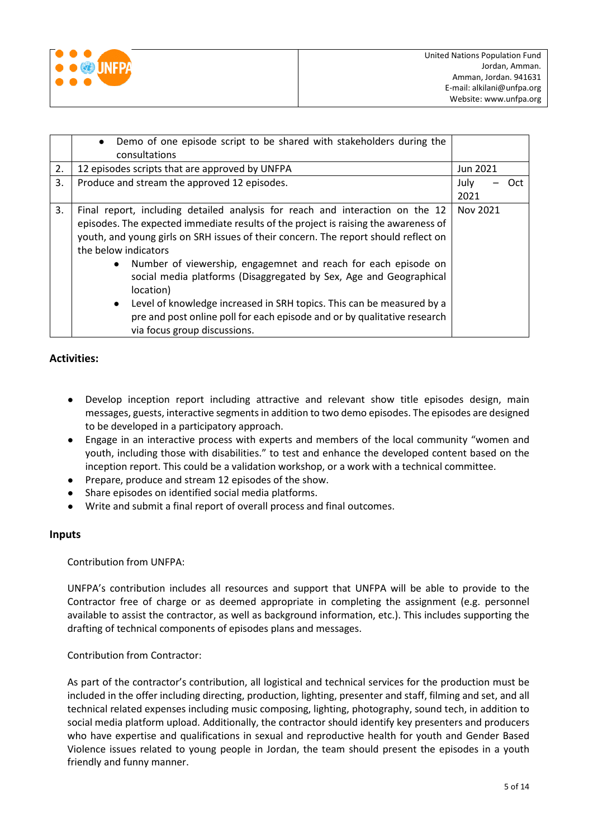

|    | Demo of one episode script to be shared with stakeholders during the<br>$\bullet$<br>consultations                                                                                                                                                                                                                                                                                                                                                                                                                                                                                                                                                      |              |     |  |
|----|---------------------------------------------------------------------------------------------------------------------------------------------------------------------------------------------------------------------------------------------------------------------------------------------------------------------------------------------------------------------------------------------------------------------------------------------------------------------------------------------------------------------------------------------------------------------------------------------------------------------------------------------------------|--------------|-----|--|
| 2. | 12 episodes scripts that are approved by UNFPA                                                                                                                                                                                                                                                                                                                                                                                                                                                                                                                                                                                                          | Jun 2021     |     |  |
| 3. | Produce and stream the approved 12 episodes.                                                                                                                                                                                                                                                                                                                                                                                                                                                                                                                                                                                                            | July<br>2021 | Oct |  |
| 3. | Final report, including detailed analysis for reach and interaction on the 12<br>episodes. The expected immediate results of the project is raising the awareness of<br>youth, and young girls on SRH issues of their concern. The report should reflect on<br>the below indicators<br>Number of viewership, engagemnet and reach for each episode on<br>$\bullet$<br>social media platforms (Disaggregated by Sex, Age and Geographical<br>location)<br>Level of knowledge increased in SRH topics. This can be measured by a<br>$\bullet$<br>pre and post online poll for each episode and or by qualitative research<br>via focus group discussions. |              |     |  |

## **Activities:**

- Develop inception report including attractive and relevant show title episodes design, main messages, guests, interactive segments in addition to two demo episodes. The episodes are designed to be developed in a participatory approach.
- Engage in an interactive process with experts and members of the local community "women and youth, including those with disabilities." to test and enhance the developed content based on the inception report. This could be a validation workshop, or a work with a technical committee.
- Prepare, produce and stream 12 episodes of the show.
- Share episodes on identified social media platforms.
- Write and submit a final report of overall process and final outcomes.

#### **Inputs**

Contribution from UNFPA:

UNFPA's contribution includes all resources and support that UNFPA will be able to provide to the Contractor free of charge or as deemed appropriate in completing the assignment (e.g. personnel available to assist the contractor, as well as background information, etc.). This includes supporting the drafting of technical components of episodes plans and messages.

#### Contribution from Contractor:

As part of the contractor's contribution, all logistical and technical services for the production must be included in the offer including directing, production, lighting, presenter and staff, filming and set, and all technical related expenses including music composing, lighting, photography, sound tech, in addition to social media platform upload. Additionally, the contractor should identify key presenters and producers who have expertise and qualifications in sexual and reproductive health for youth and Gender Based Violence issues related to young people in Jordan, the team should present the episodes in a youth friendly and funny manner.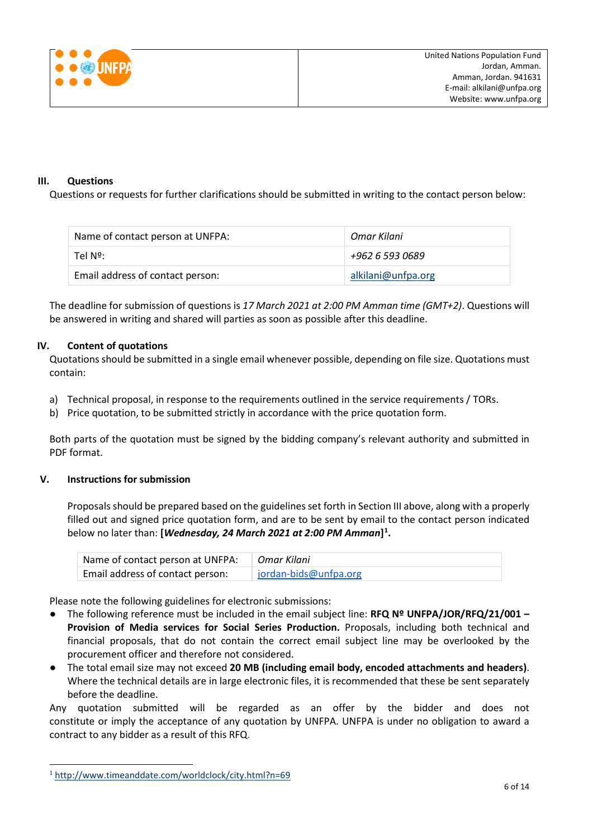

#### **III. Questions**

Questions or requests for further clarifications should be submitted in writing to the contact person below:

| Name of contact person at UNFPA: | Omar Kilani        |
|----------------------------------|--------------------|
| Tel Nº:                          | +962 6 593 0689    |
| Email address of contact person: | alkilani@unfpa.org |

The deadline for submission of questions is *17 March 2021 at 2:00 PM Amman time (GMT+2)*. Questions will be answered in writing and shared will parties as soon as possible after this deadline.

#### **IV. Content of quotations**

Quotations should be submitted in a single email whenever possible, depending on file size. Quotations must contain:

- a) Technical proposal, in response to the requirements outlined in the service requirements / TORs.
- b) Price quotation, to be submitted strictly in accordance with the price quotation form.

Both parts of the quotation must be signed by the bidding company's relevant authority and submitted in PDF format.

#### **V. Instructions for submission**

Proposals should be prepared based on the guidelines set forth in Section III above, along with a properly filled out and signed price quotation form, and are to be sent by email to the contact person indicated below no later than: **[***Wednesday, 24 March 2021 at 2:00 PM Amman***][1](#page-5-0) .**

| Name of contact person at UNFPA:   Omar Kilani |                       |
|------------------------------------------------|-----------------------|
| Email address of contact person:               | jordan-bids@unfpa.org |

Please note the following guidelines for electronic submissions:

- The following reference must be included in the email subject line: **RFQ Nº UNFPA/JOR/RFQ/21/001 – Provision of Media services for Social Series Production.** Proposals, including both technical and financial proposals, that do not contain the correct email subject line may be overlooked by the procurement officer and therefore not considered.
- The total email size may not exceed **20 MB (including email body, encoded attachments and headers)**. Where the technical details are in large electronic files, it is recommended that these be sent separately before the deadline.

Any quotation submitted will be regarded as an offer by the bidder and does not constitute or imply the acceptance of any quotation by UNFPA. UNFPA is under no obligation to award a contract to any bidder as a result of this RFQ.

<span id="page-5-0"></span> <sup>1</sup> <http://www.timeanddate.com/worldclock/city.html?n=69>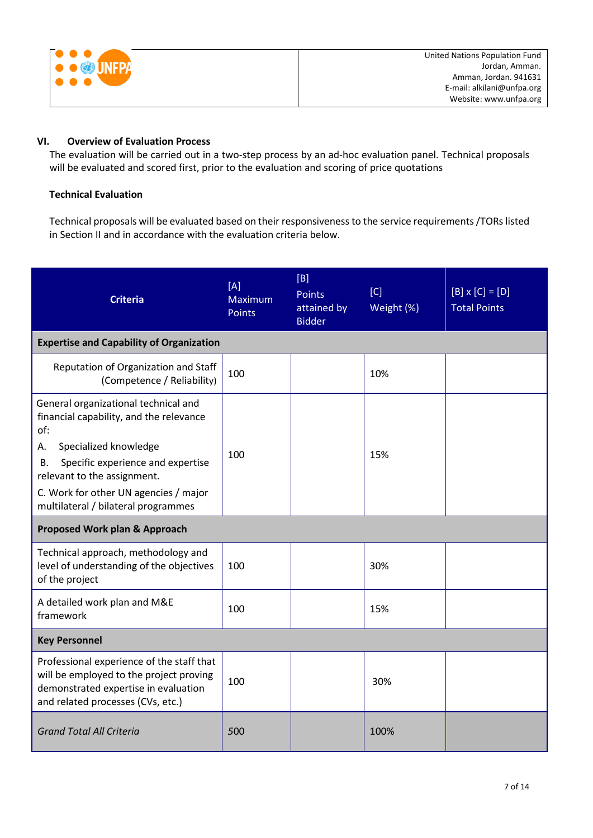|  | UNFP |
|--|------|
|  |      |
|  |      |
|  |      |

## **VI. Overview of Evaluation Process**

The evaluation will be carried out in a two-step process by an ad-hoc evaluation panel. Technical proposals will be evaluated and scored first, prior to the evaluation and scoring of price quotations

## **Technical Evaluation**

Technical proposals will be evaluated based on their responsiveness to the service requirements /TORs listed in Section II and in accordance with the evaluation criteria below.

| <b>Criteria</b>                                                                                                                                                                                                                                                                 | [A]<br>Maximum<br><b>Points</b> | [B]<br><b>Points</b><br>attained by<br><b>Bidder</b> | [C]<br>Weight (%) | $[B] \times [C] = [D]$<br><b>Total Points</b> |
|---------------------------------------------------------------------------------------------------------------------------------------------------------------------------------------------------------------------------------------------------------------------------------|---------------------------------|------------------------------------------------------|-------------------|-----------------------------------------------|
| <b>Expertise and Capability of Organization</b>                                                                                                                                                                                                                                 |                                 |                                                      |                   |                                               |
| Reputation of Organization and Staff<br>(Competence / Reliability)                                                                                                                                                                                                              | 100                             |                                                      | 10%               |                                               |
| General organizational technical and<br>financial capability, and the relevance<br>of:<br>Specialized knowledge<br>А.<br>Specific experience and expertise<br>В.<br>relevant to the assignment.<br>C. Work for other UN agencies / major<br>multilateral / bilateral programmes | 100                             |                                                      | 15%               |                                               |
| <b>Proposed Work plan &amp; Approach</b>                                                                                                                                                                                                                                        |                                 |                                                      |                   |                                               |
| Technical approach, methodology and<br>level of understanding of the objectives<br>of the project                                                                                                                                                                               | 100                             |                                                      | 30%               |                                               |
| A detailed work plan and M&E<br>framework                                                                                                                                                                                                                                       | 100                             |                                                      | 15%               |                                               |
| <b>Key Personnel</b>                                                                                                                                                                                                                                                            |                                 |                                                      |                   |                                               |
| Professional experience of the staff that<br>will be employed to the project proving<br>demonstrated expertise in evaluation<br>and related processes (CVs, etc.)                                                                                                               | 100                             |                                                      | 30%               |                                               |
| <b>Grand Total All Criteria</b>                                                                                                                                                                                                                                                 | 500                             |                                                      | 100%              |                                               |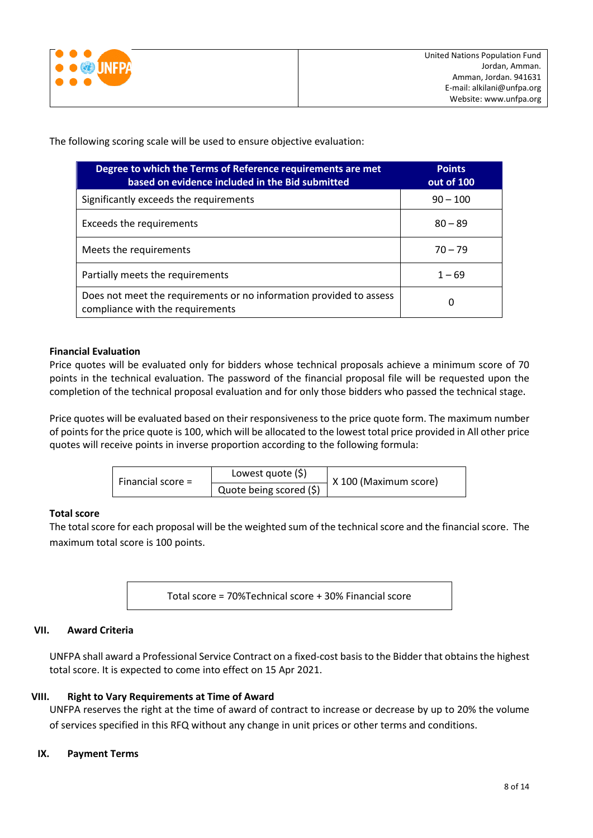

The following scoring scale will be used to ensure objective evaluation:

| Degree to which the Terms of Reference requirements are met<br>based on evidence included in the Bid submitted | <b>Points</b><br>out of 100 |
|----------------------------------------------------------------------------------------------------------------|-----------------------------|
| Significantly exceeds the requirements                                                                         | $90 - 100$                  |
| Exceeds the requirements                                                                                       | $80 - 89$                   |
| Meets the requirements                                                                                         | $70 - 79$                   |
| Partially meets the requirements                                                                               | $1 - 69$                    |
| Does not meet the requirements or no information provided to assess<br>compliance with the requirements        | 0                           |

#### **Financial Evaluation**

Price quotes will be evaluated only for bidders whose technical proposals achieve a minimum score of 70 points in the technical evaluation. The password of the financial proposal file will be requested upon the completion of the technical proposal evaluation and for only those bidders who passed the technical stage.

Price quotes will be evaluated based on their responsiveness to the price quote form. The maximum number of points for the price quote is 100, which will be allocated to the lowest total price provided in All other price quotes will receive points in inverse proportion according to the following formula:

| Financial score $=$ | Lowest quote $(\xi)$    | X 100 (Maximum score) |
|---------------------|-------------------------|-----------------------|
|                     | Quote being scored (\$) |                       |

## **Total score**

The total score for each proposal will be the weighted sum of the technical score and the financial score. The maximum total score is 100 points.

Total score = 70%Technical score + 30% Financial score

## **VII. Award Criteria**

UNFPA shall award a Professional Service Contract on a fixed-cost basis to the Bidder that obtains the highest total score. It is expected to come into effect on 15 Apr 2021.

## **VIII. Right to Vary Requirements at Time of Award**

UNFPA reserves the right at the time of award of contract to increase or decrease by up to 20% the volume of services specified in this RFQ without any change in unit prices or other terms and conditions.

#### **IX. Payment Terms**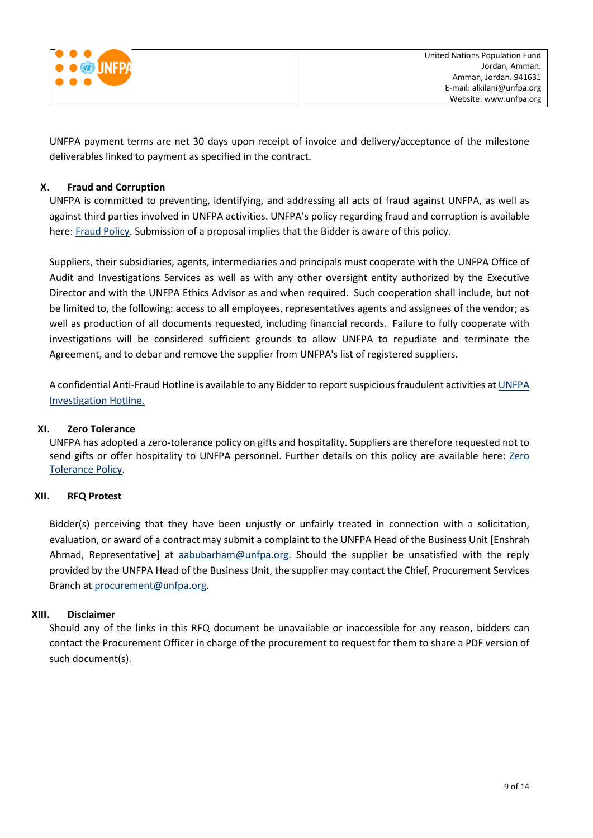

UNFPA payment terms are net 30 days upon receipt of invoice and delivery/acceptance of the milestone deliverables linked to payment as specified in the contract.

### **X. [Fraud and Corruption](http://www.unfpa.org/about-procurement#FraudCorruption)**

UNFPA is committed to preventing, identifying, and addressing all acts of fraud against UNFPA, as well as against third parties involved in UNFPA activities. UNFPA's policy regarding fraud and corruption is available here[: Fraud Policy.](http://www.unfpa.org/resources/fraud-policy-2009#overlay-context=node/10356/draft) Submission of a proposal implies that the Bidder is aware of this policy.

Suppliers, their subsidiaries, agents, intermediaries and principals must cooperate with the UNFPA Office of Audit and Investigations Services as well as with any other oversight entity authorized by the Executive Director and with the UNFPA Ethics Advisor as and when required. Such cooperation shall include, but not be limited to, the following: access to all employees, representatives agents and assignees of the vendor; as well as production of all documents requested, including financial records. Failure to fully cooperate with investigations will be considered sufficient grounds to allow UNFPA to repudiate and terminate the Agreement, and to debar and remove the supplier from UNFPA's list of registered suppliers.

A confidential Anti-Fraud Hotline is available to any Bidder to report suspicious fraudulent activities a[t UNFPA](http://web2.unfpa.org/help/hotline.cfm)  [Investigation Hotline.](http://web2.unfpa.org/help/hotline.cfm)

#### **XI. Zero Tolerance**

UNFPA has adopted a zero-tolerance policy on gifts and hospitality. Suppliers are therefore requested not to send gifts or offer hospitality to UNFPA personnel. Further details on this policy are available here: Zero [Tolerance Policy.](http://www.unfpa.org/about-procurement#ZeroTolerance)

#### **XII. RFQ Protest**

Bidder(s) perceiving that they have been unjustly or unfairly treated in connection with a solicitation, evaluation, or award of a contract may submit a complaint to the UNFPA Head of the Business Unit [Enshrah Ahmad, Representative] at [aabubarham@unfpa.org.](mailto:aabubarham@unfpa.org) Should the supplier be unsatisfied with the reply provided by the UNFPA Head of the Business Unit, the supplier may contact the Chief, Procurement Services Branch at [procurement@unfpa.org.](mailto:procurement@unfpa.org)

#### **XIII. Disclaimer**

Should any of the links in this RFQ document be unavailable or inaccessible for any reason, bidders can contact the Procurement Officer in charge of the procurement to request for them to share a PDF version of such document(s).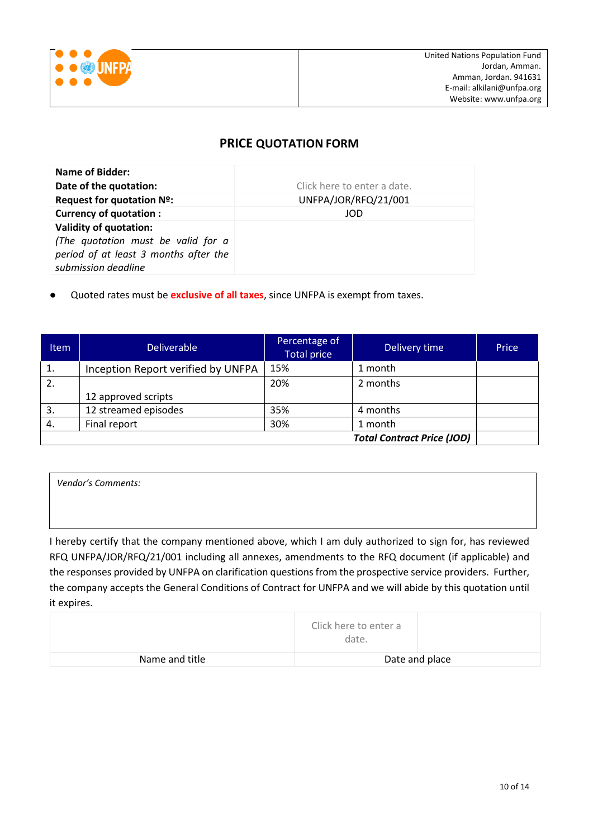

## **PRICE QUOTATION FORM**

| <b>Name of Bidder:</b>                                                                                                              |                             |
|-------------------------------------------------------------------------------------------------------------------------------------|-----------------------------|
| Date of the quotation:                                                                                                              | Click here to enter a date. |
| Request for quotation Nº:                                                                                                           | UNFPA/JOR/RFQ/21/001        |
| <b>Currency of quotation:</b>                                                                                                       | JOD                         |
| <b>Validity of quotation:</b><br>(The quotation must be valid for a<br>period of at least 3 months after the<br>submission deadline |                             |

Quoted rates must be **exclusive of all taxes**, since UNFPA is exempt from taxes.

| <b>Item</b> | <b>Deliverable</b>                 | Percentage of<br><b>Total price</b> | Delivery time                     | Price |
|-------------|------------------------------------|-------------------------------------|-----------------------------------|-------|
| 1.          | Inception Report verified by UNFPA | 15%                                 | 1 month                           |       |
| 2.          |                                    | 20%                                 | 2 months                          |       |
|             | 12 approved scripts                |                                     |                                   |       |
| 3.          | 12 streamed episodes               | 35%                                 | 4 months                          |       |
| 4.          | Final report                       | 30%                                 | 1 month                           |       |
|             |                                    |                                     | <b>Total Contract Price (JOD)</b> |       |

*Vendor's Comments:*

I hereby certify that the company mentioned above, which I am duly authorized to sign for, has reviewed RFQ UNFPA/JOR/RFQ/21/001 including all annexes, amendments to the RFQ document (if applicable) and the responses provided by UNFPA on clarification questions from the prospective service providers. Further, the company accepts the General Conditions of Contract for UNFPA and we will abide by this quotation until it expires.

|                | Click here to enter a<br>date. |                |
|----------------|--------------------------------|----------------|
| Name and title |                                | Date and place |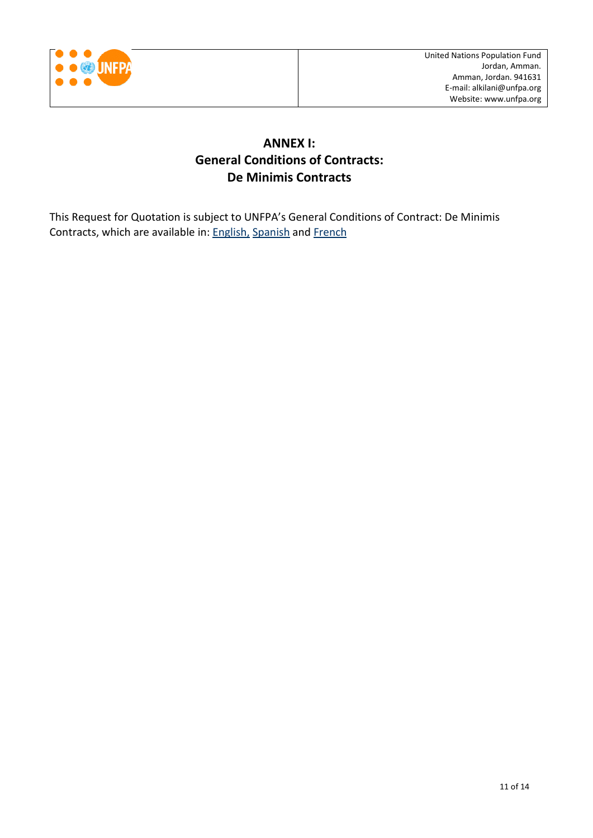

## **ANNEX I: General Conditions of Contracts: De Minimis Contracts**

This Request for Quotation is subject to UNFPA's General Conditions of Contract: De Minimis Contracts, which are available in: **English**, [Spanish](http://www.unfpa.org/sites/default/files/resource-pdf/UNFPA%20General%20Conditions%20-%20De%20Minimis%20Contracts%20SP_0.pdf) and [French](http://www.unfpa.org/sites/default/files/resource-pdf/UNFPA%20General%20Conditions%20-%20De%20Minimis%20Contracts%20FR_0.pdf)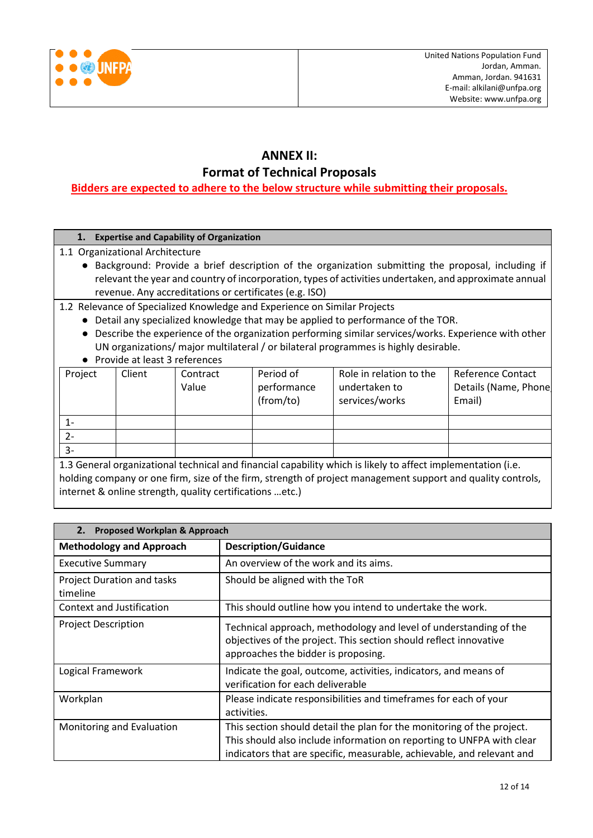

# **ANNEX II:**

**Format of Technical Proposals**

## **Bidders are expected to adhere to the below structure while submitting their proposals.**

## **1. Expertise and Capability of Organization**

- 1.1 Organizational Architecture
	- Background: Provide a brief description of the organization submitting the proposal, including if relevant the year and country of incorporation, types of activities undertaken, and approximate annual revenue. Any accreditations or certificates (e.g. ISO)

1.2 Relevance of Specialized Knowledge and Experience on Similar Projects

- Detail any specialized knowledge that may be applied to performance of the TOR.
- Describe the experience of the organization performing similar services/works. Experience with other UN organizations/ major multilateral / or bilateral programmes is highly desirable.
- Provide at least 3 references

| Project | Client | Contract<br>Value | Period of<br>performance<br>(from/to) | Role in relation to the<br>undertaken to<br>services/works | <b>Reference Contact</b><br>Details (Name, Phone<br>Email) |
|---------|--------|-------------------|---------------------------------------|------------------------------------------------------------|------------------------------------------------------------|
| 1-      |        |                   |                                       |                                                            |                                                            |
| $2 -$   |        |                   |                                       |                                                            |                                                            |
| $3-$    |        |                   |                                       |                                                            |                                                            |

1.3 General organizational technical and financial capability which is likely to affect implementation (i.e. holding company or one firm, size of the firm, strength of project management support and quality controls, internet & online strength, quality certifications …etc.)

| Proposed Workplan & Approach<br>2.            |                                                                                                                                                                                                                           |  |
|-----------------------------------------------|---------------------------------------------------------------------------------------------------------------------------------------------------------------------------------------------------------------------------|--|
| <b>Methodology and Approach</b>               | <b>Description/Guidance</b>                                                                                                                                                                                               |  |
| <b>Executive Summary</b>                      | An overview of the work and its aims.                                                                                                                                                                                     |  |
| <b>Project Duration and tasks</b><br>timeline | Should be aligned with the ToR                                                                                                                                                                                            |  |
| Context and Justification                     | This should outline how you intend to undertake the work.                                                                                                                                                                 |  |
| <b>Project Description</b>                    | Technical approach, methodology and level of understanding of the<br>objectives of the project. This section should reflect innovative<br>approaches the bidder is proposing.                                             |  |
| Logical Framework                             | Indicate the goal, outcome, activities, indicators, and means of<br>verification for each deliverable                                                                                                                     |  |
| Workplan                                      | Please indicate responsibilities and timeframes for each of your<br>activities.                                                                                                                                           |  |
| Monitoring and Evaluation                     | This section should detail the plan for the monitoring of the project.<br>This should also include information on reporting to UNFPA with clear<br>indicators that are specific, measurable, achievable, and relevant and |  |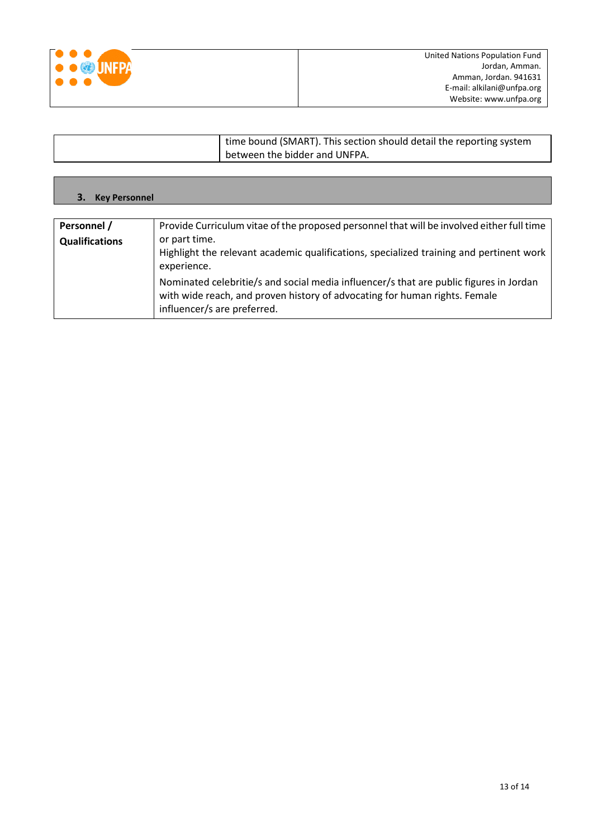

Г

٦

| time bound (SMART). This section should detail the reporting system |
|---------------------------------------------------------------------|
| between the bidder and UNFPA.                                       |

| <b>3.</b> Key Personnel |                                                                                                                                                                                                     |
|-------------------------|-----------------------------------------------------------------------------------------------------------------------------------------------------------------------------------------------------|
|                         |                                                                                                                                                                                                     |
| Personnel /             | Provide Curriculum vitae of the proposed personnel that will be involved either full time                                                                                                           |
| <b>Qualifications</b>   | or part time.<br>Highlight the relevant academic qualifications, specialized training and pertinent work<br>experience.                                                                             |
|                         | Nominated celebritie/s and social media influencer/s that are public figures in Jordan<br>with wide reach, and proven history of advocating for human rights. Female<br>influencer/s are preferred. |